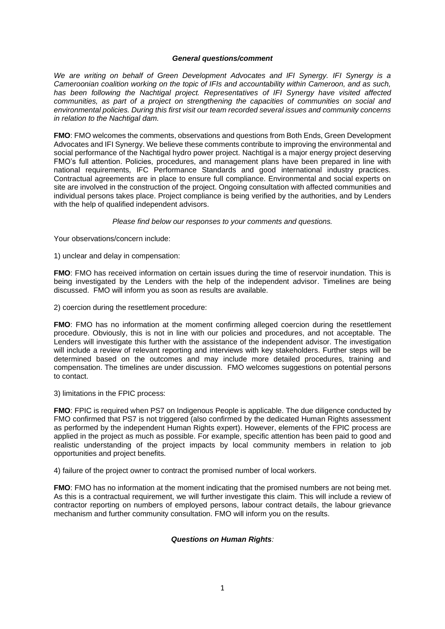## *General questions/comment*

*We are writing on behalf of Green Development Advocates and IFI Synergy. IFI Synergy is a Cameroonian coalition working on the topic of IFIs and accountability within Cameroon, and as such, has been following the Nachtigal project. Representatives of IFI Synergy have visited affected communities, as part of a project on strengthening the capacities of communities on social and environmental policies. During this first visit our team recorded several issues and community concerns in relation to the Nachtigal dam.* 

**FMO**: FMO welcomes the comments, observations and questions from Both Ends, Green Development Advocates and IFI Synergy. We believe these comments contribute to improving the environmental and social performance of the Nachtigal hydro power project. Nachtigal is a major energy project deserving FMO's full attention. Policies, procedures, and management plans have been prepared in line with national requirements, IFC Performance Standards and good international industry practices. Contractual agreements are in place to ensure full compliance. Environmental and social experts on site are involved in the construction of the project. Ongoing consultation with affected communities and individual persons takes place. Project compliance is being verified by the authorities, and by Lenders with the help of qualified independent advisors.

*Please find below our responses to your comments and questions.*

Your observations/concern include:

1) unclear and delay in compensation:

**FMO**: FMO has received information on certain issues during the time of reservoir inundation. This is being investigated by the Lenders with the help of the independent advisor. Timelines are being discussed. FMO will inform you as soon as results are available.

2) coercion during the resettlement procedure:

**FMO**: FMO has no information at the moment confirming alleged coercion during the resettlement procedure. Obviously, this is not in line with our policies and procedures, and not acceptable. The Lenders will investigate this further with the assistance of the independent advisor. The investigation will include a review of relevant reporting and interviews with key stakeholders. Further steps will be determined based on the outcomes and may include more detailed procedures, training and compensation. The timelines are under discussion. FMO welcomes suggestions on potential persons to contact.

3) limitations in the FPIC process:

**FMO**: FPIC is required when PS7 on Indigenous People is applicable. The due diligence conducted by FMO confirmed that PS7 is not triggered (also confirmed by the dedicated Human Rights assessment as performed by the independent Human Rights expert). However, elements of the FPIC process are applied in the project as much as possible. For example, specific attention has been paid to good and realistic understanding of the project impacts by local community members in relation to job opportunities and project benefits.

4) failure of the project owner to contract the promised number of local workers.

**FMO**: FMO has no information at the moment indicating that the promised numbers are not being met. As this is a contractual requirement, we will further investigate this claim. This will include a review of contractor reporting on numbers of employed persons, labour contract details, the labour grievance mechanism and further community consultation. FMO will inform you on the results.

## *Questions on Human Rights:*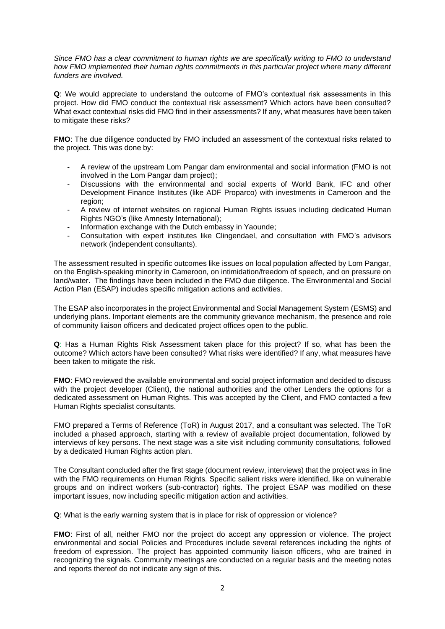## *Since FMO has a clear commitment to human rights we are specifically writing to FMO to understand how FMO implemented their human rights commitments in this particular project where many different funders are involved.*

**Q**: We would appreciate to understand the outcome of FMO's contextual risk assessments in this project. How did FMO conduct the contextual risk assessment? Which actors have been consulted? What exact contextual risks did FMO find in their assessments? If any, what measures have been taken to mitigate these risks?

**FMO**: The due diligence conducted by FMO included an assessment of the contextual risks related to the project. This was done by:

- A review of the upstream Lom Pangar dam environmental and social information (FMO is not involved in the Lom Pangar dam project);
- Discussions with the environmental and social experts of World Bank, IFC and other Development Finance Institutes (like ADF Proparco) with investments in Cameroon and the region;
- A review of internet websites on regional Human Rights issues including dedicated Human Rights NGO's (like Amnesty International);
- Information exchange with the Dutch embassy in Yaounde;
- Consultation with expert institutes like Clingendael, and consultation with FMO's advisors network (independent consultants).

The assessment resulted in specific outcomes like issues on local population affected by Lom Pangar, on the English-speaking minority in Cameroon, on intimidation/freedom of speech, and on pressure on land/water. The findings have been included in the FMO due diligence. The Environmental and Social Action Plan (ESAP) includes specific mitigation actions and activities.

The ESAP also incorporates in the project Environmental and Social Management System (ESMS) and underlying plans. Important elements are the community grievance mechanism, the presence and role of community liaison officers and dedicated project offices open to the public.

**Q**: Has a Human Rights Risk Assessment taken place for this project? If so, what has been the outcome? Which actors have been consulted? What risks were identified? If any, what measures have been taken to mitigate the risk.

**FMO**: FMO reviewed the available environmental and social project information and decided to discuss with the project developer (Client), the national authorities and the other Lenders the options for a dedicated assessment on Human Rights. This was accepted by the Client, and FMO contacted a few Human Rights specialist consultants.

FMO prepared a Terms of Reference (ToR) in August 2017, and a consultant was selected. The ToR included a phased approach, starting with a review of available project documentation, followed by interviews of key persons. The next stage was a site visit including community consultations, followed by a dedicated Human Rights action plan.

The Consultant concluded after the first stage (document review, interviews) that the project was in line with the FMO requirements on Human Rights. Specific salient risks were identified, like on vulnerable groups and on indirect workers (sub-contractor) rights. The project ESAP was modified on these important issues, now including specific mitigation action and activities.

**Q**: What is the early warning system that is in place for risk of oppression or violence?

**FMO**: First of all, neither FMO nor the project do accept any oppression or violence. The project environmental and social Policies and Procedures include several references including the rights of freedom of expression. The project has appointed community liaison officers, who are trained in recognizing the signals. Community meetings are conducted on a regular basis and the meeting notes and reports thereof do not indicate any sign of this.